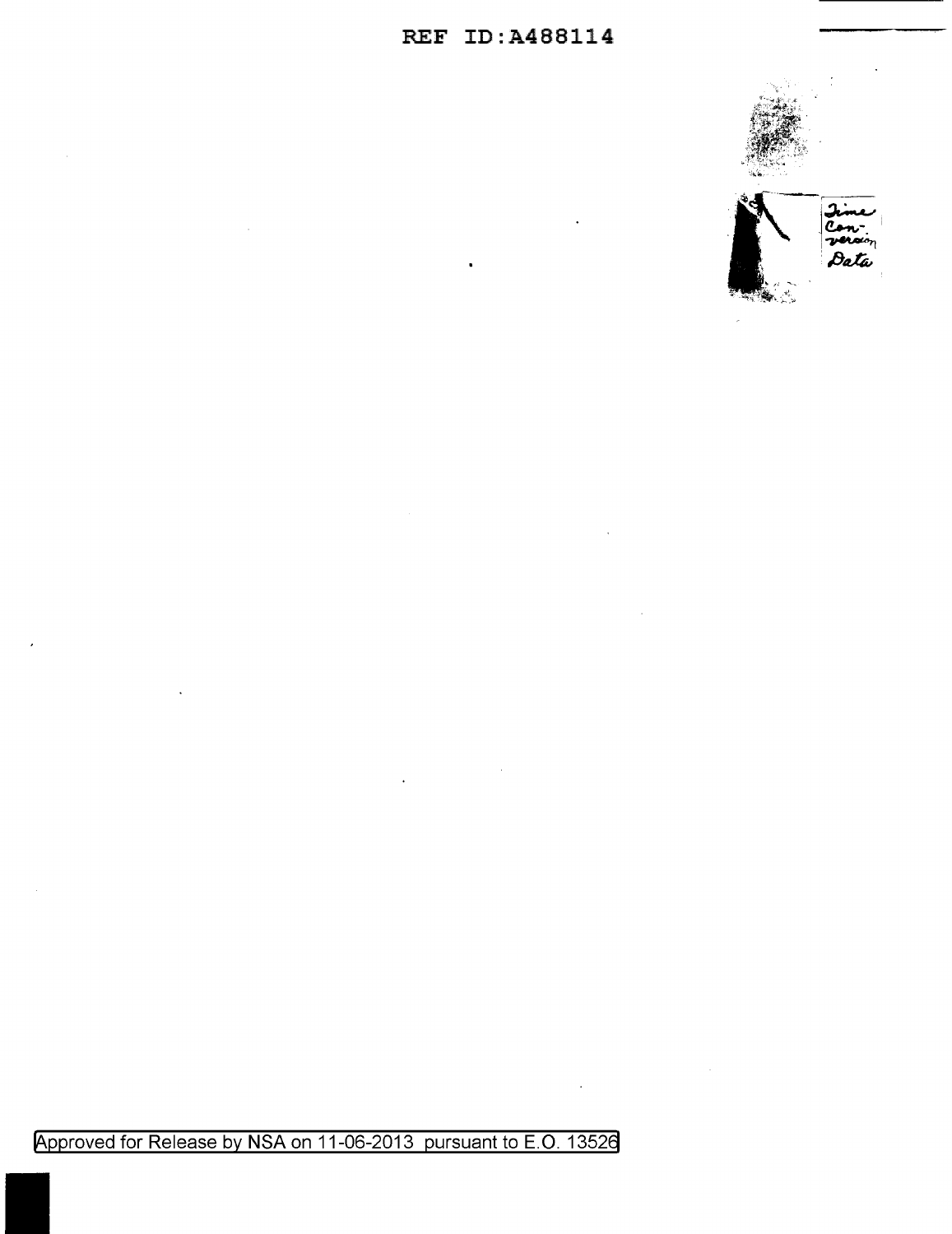



Approved for Release by NSA on 11-06-2013 pursuant to E.O. 13526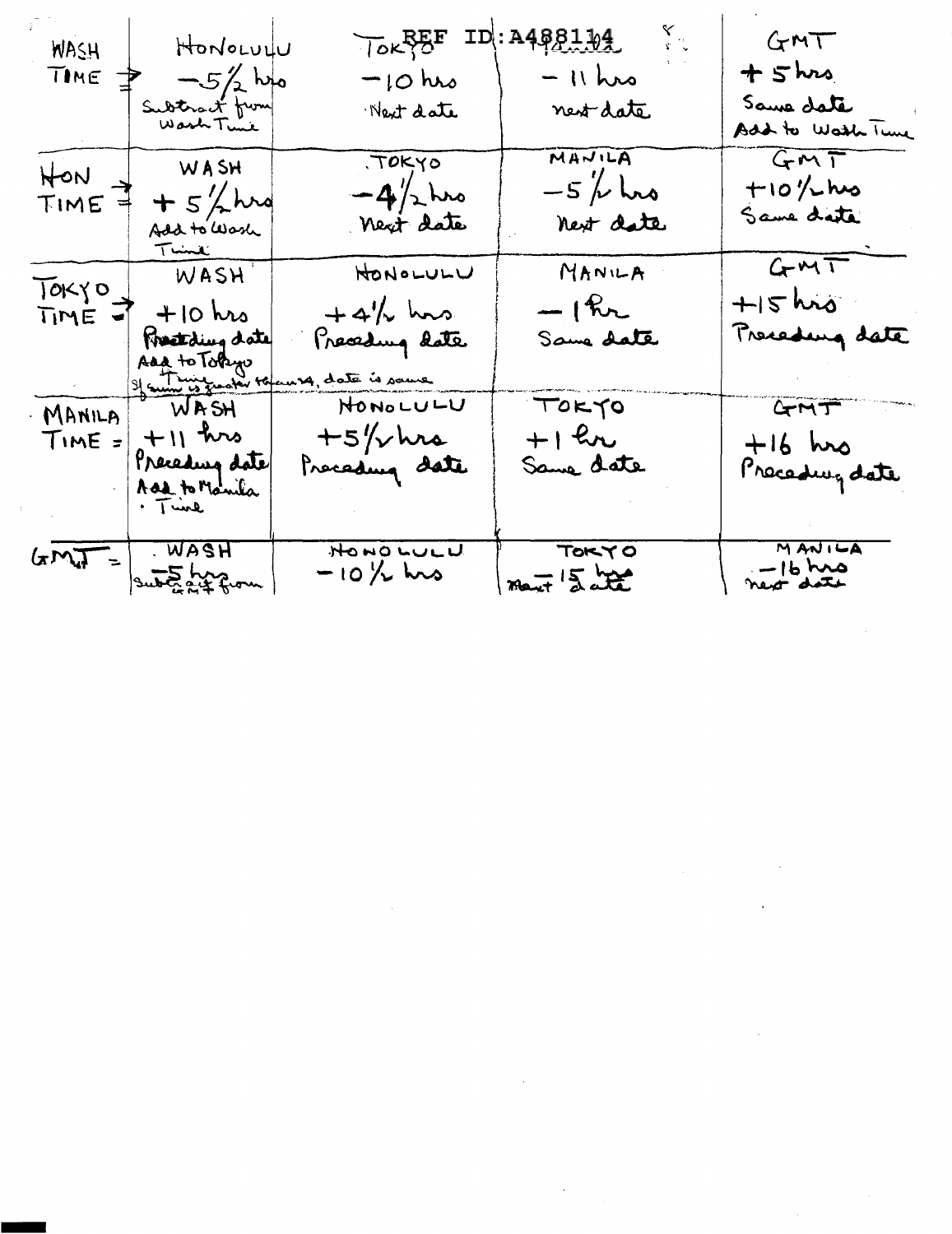| <b>WASH</b>      | HONOLULU                                                              | JOK BE                                                                  | 881.QL                                      | GMT                                |
|------------------|-----------------------------------------------------------------------|-------------------------------------------------------------------------|---------------------------------------------|------------------------------------|
| TIME             | $-5/2$ has                                                            | $-10$ hrs                                                               | $-11$ hrs                                   | $+$ $5$ $\mu$                      |
|                  | Subtract from                                                         | Next date                                                               | nest date                                   | Same date<br>Add to Watch Tune     |
| HON<br>TIME      | WASH<br>$+5/2$ hro                                                    | TOKYO<br>$-4/2$ hrs<br>Next date                                        | MANILA<br>$-5$ / $\sim$ $\sim$<br>next date | GMT<br>$+10$ % hus<br>Same date    |
| TOKYO<br>TIME -1 | $T$ was $H$<br>$+10$ hrs<br>Freatding date<br>Add to Tokyo            | HONOLULU<br>$+4\frac{1}{2}$ hors.<br>Preceding date<br>14, date is same | MANILA<br>$-1$ kr<br>Same date              | GMT<br>$+15$ his<br>Presedung date |
| $Time =$         | MANILA WASH<br>$+11$ hrs<br>Preceding date<br>Add to Manila<br>. Time | HONOLULU<br>$+5/\sqrt{m}$<br>Preceding date                             | TOKYO<br>$+1$ kr<br>Same date               | GMT<br>$+16$ hrs<br>Precedure date |
| $GML =$          | . WASH<br>subtract from                                               | HONO LULU<br>$-10\frac{1}{10}$ hrs                                      | <b>TOKYO</b><br>$max$ $5.22$                | MANIFA<br>$-16$ hrs<br>next date   |

 $\label{eq:2.1} \frac{1}{\sqrt{2}}\left(\frac{1}{\sqrt{2}}\right)^2\left(\frac{1}{\sqrt{2}}\right)^2\left(\frac{1}{\sqrt{2}}\right)^2\left(\frac{1}{\sqrt{2}}\right)^2\left(\frac{1}{\sqrt{2}}\right)^2\left(\frac{1}{\sqrt{2}}\right)^2.$ 

 $\label{eq:2.1} \frac{1}{\sqrt{2}}\left(\frac{1}{\sqrt{2}}\right)^{2} \left(\frac{1}{\sqrt{2}}\right)^{2} \left(\frac{1}{\sqrt{2}}\right)^{2} \left(\frac{1}{\sqrt{2}}\right)^{2} \left(\frac{1}{\sqrt{2}}\right)^{2} \left(\frac{1}{\sqrt{2}}\right)^{2} \left(\frac{1}{\sqrt{2}}\right)^{2} \left(\frac{1}{\sqrt{2}}\right)^{2} \left(\frac{1}{\sqrt{2}}\right)^{2} \left(\frac{1}{\sqrt{2}}\right)^{2} \left(\frac{1}{\sqrt{2}}\right)^{2} \left(\$ 

 $\label{eq:2.1} \frac{1}{2} \sum_{i=1}^n \frac{1}{2} \sum_{j=1}^n \frac{1}{2} \sum_{j=1}^n \frac{1}{2} \sum_{j=1}^n \frac{1}{2} \sum_{j=1}^n \frac{1}{2} \sum_{j=1}^n \frac{1}{2} \sum_{j=1}^n \frac{1}{2} \sum_{j=1}^n \frac{1}{2} \sum_{j=1}^n \frac{1}{2} \sum_{j=1}^n \frac{1}{2} \sum_{j=1}^n \frac{1}{2} \sum_{j=1}^n \frac{1}{2} \sum_{j=1}^n \frac{$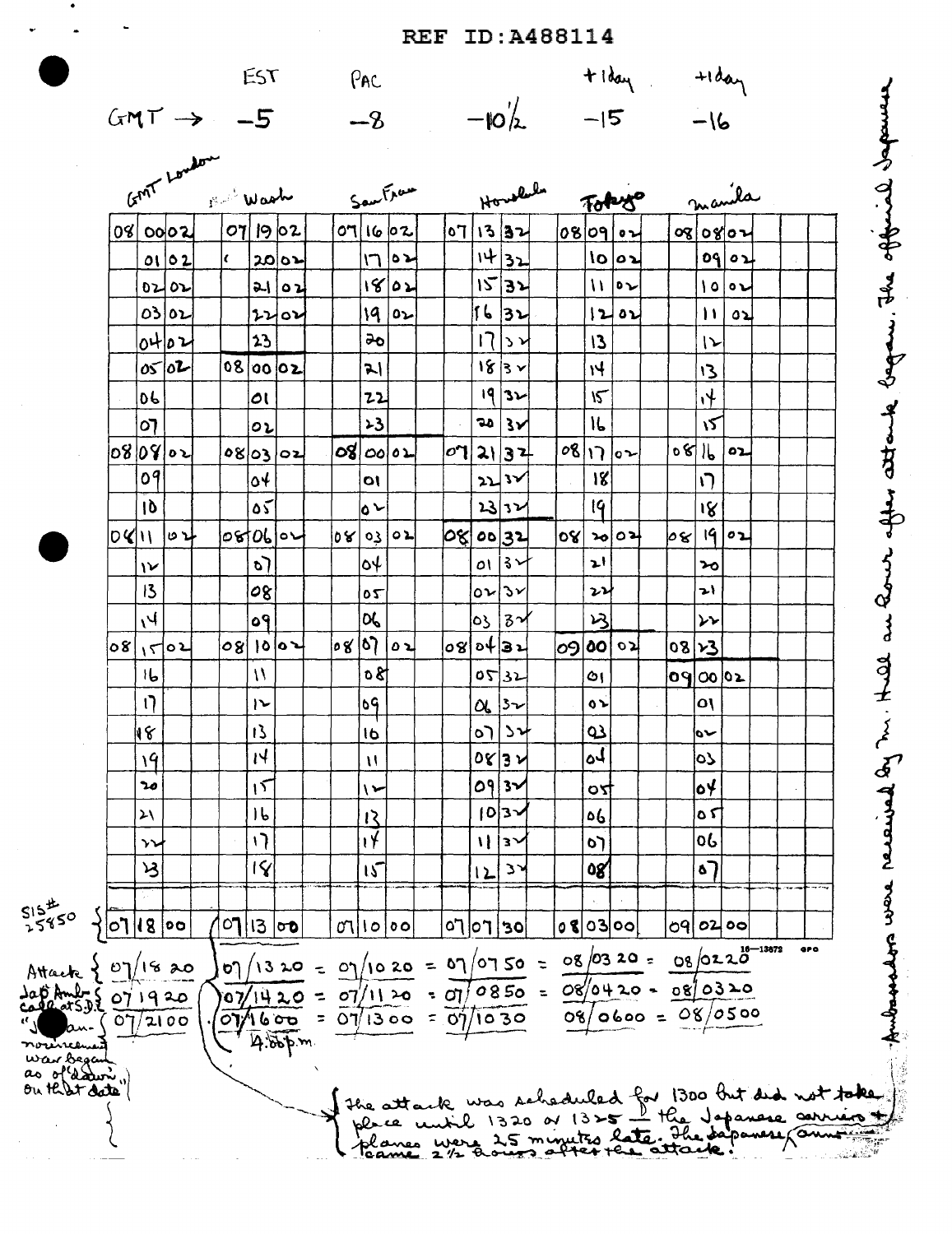## **REF ID: A488114**

EST

 $GMT \rightarrow -5$ 

PAC  $-8$ 

 $-\omega'$ 

 $+1$ day

 $-16$ 

every solution and this is the strong of the subject of the same of the same of the sales

 $+$ lday

 $-15$ 

 $\boldsymbol{\mu}$ GMT Law Howsler manila SauFrau 1 Wash Tokyo 08 00 02  $|o\eta|$  19  $|o\,$ 2 07 13 32 07/16/02 |08|09||02 oglogloz  $1432$  $\overline{1}$ ⊾ە| l,  $\log|\sigma_2|$ oq| لده  $0102$  $2002$  $1532$ ۱8|۵۷  $||\cdot||$  $0202$  $2102$ اه ۱ ⊾ہ| 56 32 osloz 19 لدا  $0<sub>2</sub>$  $\theta$  $\mathbf{H}$ لاه  $2202$  $0402$  $2<sub>3</sub>$ ಹಿ  $\overline{17}$  $\sqrt{2}$  $13$  $\mathsf{L}$  $\sigma$   $\sigma$ 08 00 02  $183x$  $H$  $13$ 지  $19$  32  $\sqrt{2}$  $\ddot{\mathcal{L}}$ 06 lοι 22  $23$  $20|3x$ 16 کا ০7  $\circ\iota$  $08|17|02$ 08 08 oz لده |00 |2**0**  $|\sigma$ ן  $081602$  $2137$ **080302** 09 18  $\circ$  $\overline{O}$  $\overline{\mathbf{2}}$  $\mathbf{v}$  $\sqrt{ }$  $19$  $\delta\zeta$ ig  $10$  $\bullet$ 23 32 الاه| ده| اد دا 080600 ∣୦ଝ  $|q|$ 02  $O(1)$ 00 32 ovi  $|b\, {\bf 8} |$ اده os  $\mathbf{P}$ ∣३∼ ارد ∕ہ o)  $\mathsf{O}$ ᡠ  $\mathcal{V}$  $13$  $\boldsymbol{\nu}$ 08 onlər  $\mathbf{r}$  $\overline{\mathfrak{c}}$ OG  $\mathcal{B}$  $V_I$  $3\gamma$ 69 ٥3  $\overline{\mathbf{r}}$ |०४ |११ | ่o8|อ4|่3น 09 00  $1502$  $|08|$  10  $|02|$ لہ ہ لاه 08 23 80  $16$  $\mathcal{U}$ 08  $0532$ ০৭∣০০∣০১ Ô١  $\mathfrak{g}$  $\overline{\mathfrak{e}}$ ٥١  $\overline{ }$  $\mathsf{ls}_{\mathcal{V}}$ نه ه  $\alpha$ 13 18 دد∣ره  $\Omega$ 16 سن  $\mathbf{N}$ ُلە  $0$ 8 3 $\nu$ 19 oS  $\mathbf{H}$ ٥٩  $\circ \star$  $20$  $15$  $3<sub>2</sub>$  $\overline{ }$ OY  $16$  $|0|3\rangle$ ٥6 ۲ ه  $\lambda$ 12  $\overline{v}$  $\mathbf{1}$ 06  $\sigma$  $\mathbf{H}$ ∣้ร∼  $\mathbf{\hat{y}}$  $\mathcal{A}$ IÝ  $\overline{15}$ 08 റ  $\mathbf{z}$ 12  $S15^{2}$ <br>25850  $\sqrt{07/1800}$  $o$ 80300  $|01|$ 13  $|00|$  $|oq|o2|oo|$  $\sigma$  $|o|$  $|05|$   $|07|$  $07/13 \times 0 = 07/10 \times 0 = 07/07 \times 0 = 08/03 \times 0 = 08/02 \times 0^{16-13872}$ **ara** Attack  $\frac{1}{2}$  07/18 20  $107/1420 = 07/1120 = 07/0850 = 08/0420 = 08/0320$ lap Amb 5 07 1920  $08/0600 = 08/0500$  $\frac{1}{2}$  $(07/2100$  $4.866$ .<br>Literatu war begant<br>as of dature" the attack was scheduled for 1300 but did not take.